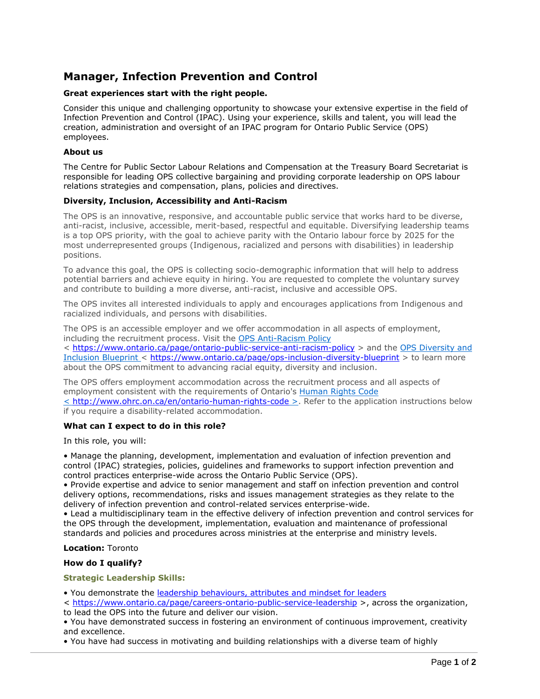# **Manager, Infection Prevention and Control**

## **Great experiences start with the right people.**

Consider this unique and challenging opportunity to showcase your extensive expertise in the field of Infection Prevention and Control (IPAC). Using your experience, skills and talent, you will lead the creation, administration and oversight of an IPAC program for Ontario Public Service (OPS) employees.

### **About us**

The Centre for Public Sector Labour Relations and Compensation at the Treasury Board Secretariat is responsible for leading OPS collective bargaining and providing corporate leadership on OPS labour relations strategies and compensation, plans, policies and directives.

### **Diversity, Inclusion, Accessibility and Anti-Racism**

The OPS is an innovative, responsive, and accountable public service that works hard to be diverse, anti-racist, inclusive, accessible, merit-based, respectful and equitable. Diversifying leadership teams is a top OPS priority, with the goal to achieve parity with the Ontario labour force by 2025 for the most underrepresented groups (Indigenous, racialized and persons with disabilities) in leadership positions.

To advance this goal, the OPS is collecting socio-demographic information that will help to address potential barriers and achieve equity in hiring. You are requested to complete the voluntary survey and contribute to building a more diverse, anti-racist, inclusive and accessible OPS.

The OPS invites all interested individuals to apply and encourages applications from Indigenous and racialized individuals, and persons with disabilities.

The OPS is an accessible employer and we offer accommodation in all aspects of employment, including the recruitment process. Visit the [OPS Anti-Racism](https://www.ontario.ca/page/ontario-public-service-anti-racism-policy) Policy < <https://www.ontario.ca/page/ontario-public-service-anti-racism-policy> > and the [OPS Diversity and](https://www.ontario.ca/page/ops-inclusion-diversity-blueprint) [Inclusion Blueprint](https://www.ontario.ca/page/ops-inclusion-diversity-blueprint) < <https://www.ontario.ca/page/ops-inclusion-diversity-blueprint> > to learn more

about the OPS commitment to advancing racial equity, diversity and inclusion.

The OPS offers employment accommodation across the recruitment process and all aspects of employment consistent with the requirements of Ontario's [Human Rights Code](http://www.ohrc.on.ca/en/ontario-human-rights-code) < <http://www.ohrc.on.ca/en/ontario-human-rights-code> >. Refer to the application instructions below if you require a disability-related accommodation.

### **What can I expect to do in this role?**

In this role, you will:

• Manage the planning, development, implementation and evaluation of infection prevention and control (IPAC) strategies, policies, guidelines and frameworks to support infection prevention and control practices enterprise-wide across the Ontario Public Service (OPS).

• Provide expertise and advice to senior management and staff on infection prevention and control delivery options, recommendations, risks and issues management strategies as they relate to the delivery of infection prevention and control-related services enterprise-wide.

• Lead a multidisciplinary team in the effective delivery of infection prevention and control services for the OPS through the development, implementation, evaluation and maintenance of professional standards and policies and procedures across ministries at the enterprise and ministry levels.

### **Location:** Toronto

### **How do I qualify?**

### **Strategic Leadership Skills:**

- You demonstrate the [leadership behaviours, attributes and mindset for leaders](https://www.ontario.ca/page/careers-ontario-public-service-leadership)
- < <https://www.ontario.ca/page/careers-ontario-public-service-leadership> >, across the organization, to lead the OPS into the future and deliver our vision.

• You have demonstrated success in fostering an environment of continuous improvement, creativity and excellence.

• You have had success in motivating and building relationships with a diverse team of highly